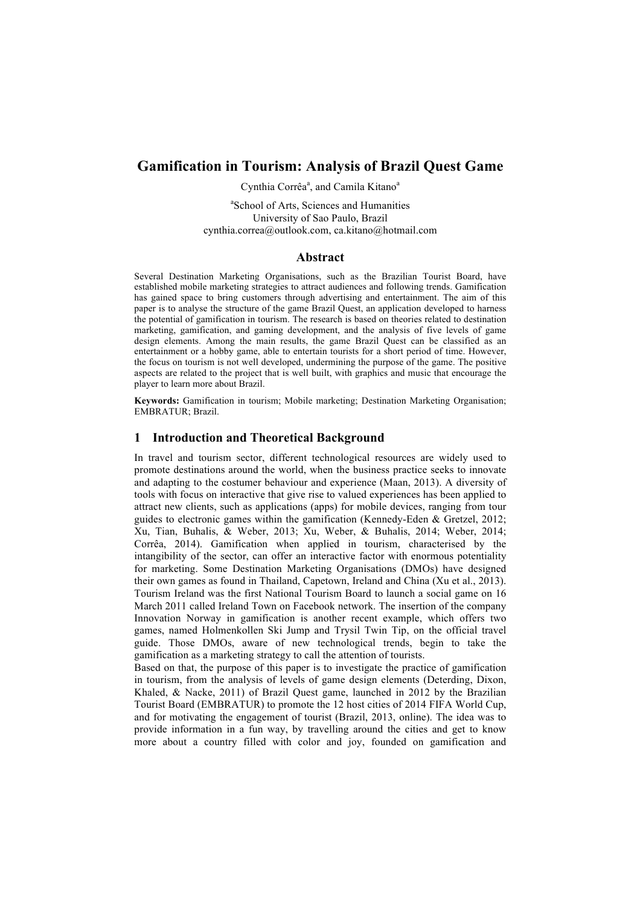# **Gamification in Tourism: Analysis of Brazil Quest Game**

Cynthia Corrêa<sup>a</sup>, and Camila Kitano<sup>a</sup>

a School of Arts, Sciences and Humanities University of Sao Paulo, Brazil cynthia.correa@outlook.com, ca.kitano@hotmail.com

### **Abstract**

Several Destination Marketing Organisations, such as the Brazilian Tourist Board, have established mobile marketing strategies to attract audiences and following trends. Gamification has gained space to bring customers through advertising and entertainment. The aim of this paper is to analyse the structure of the game Brazil Quest, an application developed to harness the potential of gamification in tourism. The research is based on theories related to destination marketing, gamification, and gaming development, and the analysis of five levels of game design elements. Among the main results, the game Brazil Quest can be classified as an entertainment or a hobby game, able to entertain tourists for a short period of time. However, the focus on tourism is not well developed, undermining the purpose of the game. The positive aspects are related to the project that is well built, with graphics and music that encourage the player to learn more about Brazil.

**Keywords:** Gamification in tourism; Mobile marketing; Destination Marketing Organisation; EMBRATUR; Brazil.

### **1 Introduction and Theoretical Background**

In travel and tourism sector, different technological resources are widely used to promote destinations around the world, when the business practice seeks to innovate and adapting to the costumer behaviour and experience (Maan, 2013). A diversity of tools with focus on interactive that give rise to valued experiences has been applied to attract new clients, such as applications (apps) for mobile devices, ranging from tour guides to electronic games within the gamification (Kennedy-Eden & Gretzel, 2012; Xu, Tian, Buhalis, & Weber, 2013; Xu, Weber, & Buhalis, 2014; Weber, 2014; Corrêa, 2014). Gamification when applied in tourism, characterised by the intangibility of the sector, can offer an interactive factor with enormous potentiality for marketing. Some Destination Marketing Organisations (DMOs) have designed their own games as found in Thailand, Capetown, Ireland and China (Xu et al., 2013). Tourism Ireland was the first National Tourism Board to launch a social game on 16 March 2011 called Ireland Town on Facebook network. The insertion of the company Innovation Norway in gamification is another recent example, which offers two games, named Holmenkollen Ski Jump and Trysil Twin Tip, on the official travel guide. Those DMOs, aware of new technological trends, begin to take the gamification as a marketing strategy to call the attention of tourists.

Based on that, the purpose of this paper is to investigate the practice of gamification in tourism, from the analysis of levels of game design elements (Deterding, Dixon, Khaled, & Nacke, 2011) of Brazil Quest game, launched in 2012 by the Brazilian Tourist Board (EMBRATUR) to promote the 12 host cities of 2014 FIFA World Cup, and for motivating the engagement of tourist (Brazil, 2013, online). The idea was to provide information in a fun way, by travelling around the cities and get to know more about a country filled with color and joy, founded on gamification and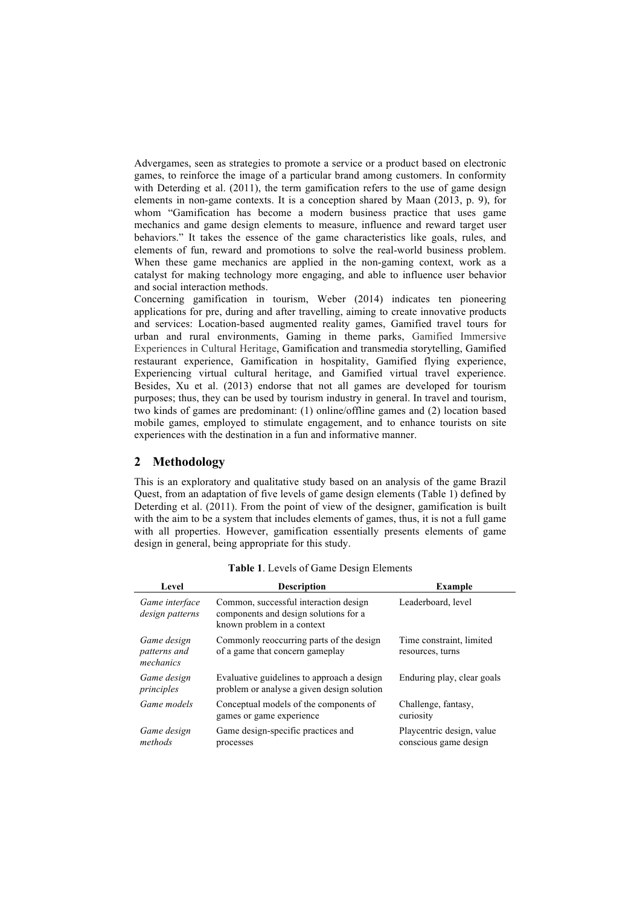Advergames, seen as strategies to promote a service or a product based on electronic games, to reinforce the image of a particular brand among customers. In conformity with Deterding et al. (2011), the term gamification refers to the use of game design elements in non-game contexts. It is a conception shared by Maan (2013, p. 9), for whom "Gamification has become a modern business practice that uses game mechanics and game design elements to measure, influence and reward target user behaviors." It takes the essence of the game characteristics like goals, rules, and elements of fun, reward and promotions to solve the real-world business problem. When these game mechanics are applied in the non-gaming context, work as a catalyst for making technology more engaging, and able to influence user behavior and social interaction methods.

Concerning gamification in tourism, Weber (2014) indicates ten pioneering applications for pre, during and after travelling, aiming to create innovative products and services: Location-based augmented reality games, Gamified travel tours for urban and rural environments, Gaming in theme parks, Gamified Immersive Experiences in Cultural Heritage, Gamification and transmedia storytelling, Gamified restaurant experience, Gamification in hospitality, Gamified flying experience, Experiencing virtual cultural heritage, and Gamified virtual travel experience. Besides, Xu et al. (2013) endorse that not all games are developed for tourism purposes; thus, they can be used by tourism industry in general. In travel and tourism, two kinds of games are predominant: (1) online/offline games and (2) location based mobile games, employed to stimulate engagement, and to enhance tourists on site experiences with the destination in a fun and informative manner.

## **2 Methodology**

This is an exploratory and qualitative study based on an analysis of the game Brazil Quest, from an adaptation of five levels of game design elements (Table 1) defined by Deterding et al. (2011). From the point of view of the designer, gamification is built with the aim to be a system that includes elements of games, thus, it is not a full game with all properties. However, gamification essentially presents elements of game design in general, being appropriate for this study.

| Level                                    | <b>Description</b>                                                                                           | <b>Example</b>                                     |
|------------------------------------------|--------------------------------------------------------------------------------------------------------------|----------------------------------------------------|
| Game interface<br>design patterns        | Common, successful interaction design<br>components and design solutions for a<br>known problem in a context | Leaderboard, level                                 |
| Game design<br>patterns and<br>mechanics | Commonly reoccurring parts of the design<br>of a game that concern gameplay                                  | Time constraint, limited<br>resources, turns       |
| Game design<br>principles                | Evaluative guidelines to approach a design<br>problem or analyse a given design solution                     | Enduring play, clear goals                         |
| Game models                              | Conceptual models of the components of<br>games or game experience                                           | Challenge, fantasy,<br>curiosity                   |
| Game design<br>methods                   | Game design-specific practices and<br>processes                                                              | Playcentric design, value<br>conscious game design |

**Table 1**. Levels of Game Design Elements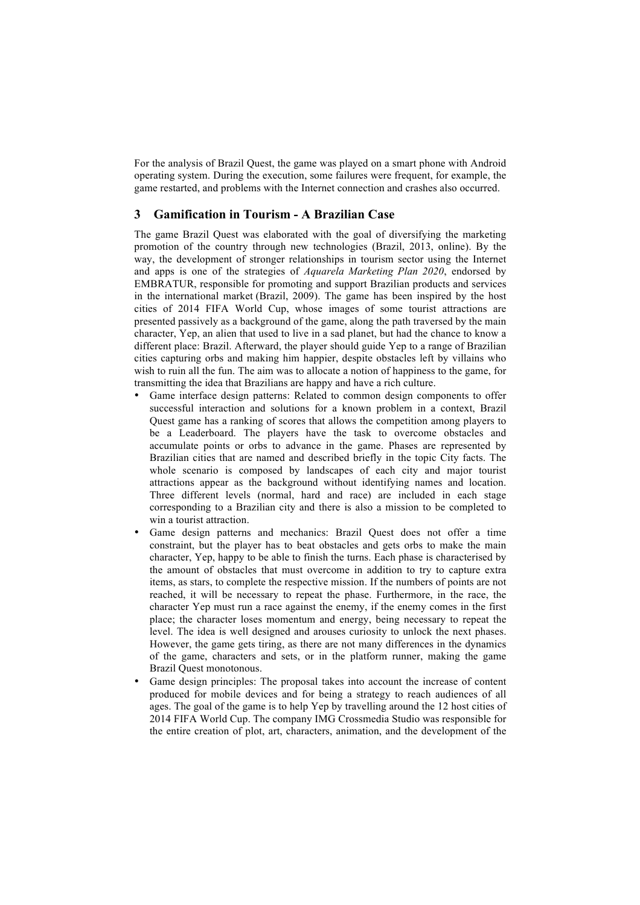For the analysis of Brazil Quest, the game was played on a smart phone with Android operating system. During the execution, some failures were frequent, for example, the game restarted, and problems with the Internet connection and crashes also occurred.

## **3 Gamification in Tourism - A Brazilian Case**

The game Brazil Quest was elaborated with the goal of diversifying the marketing promotion of the country through new technologies (Brazil, 2013, online). By the way, the development of stronger relationships in tourism sector using the Internet and apps is one of the strategies of *Aquarela Marketing Plan 2020*, endorsed by EMBRATUR, responsible for promoting and support Brazilian products and services in the international market (Brazil, 2009). The game has been inspired by the host cities of 2014 FIFA World Cup, whose images of some tourist attractions are presented passively as a background of the game, along the path traversed by the main character, Yep, an alien that used to live in a sad planet, but had the chance to know a different place: Brazil. Afterward, the player should guide Yep to a range of Brazilian cities capturing orbs and making him happier, despite obstacles left by villains who wish to ruin all the fun. The aim was to allocate a notion of happiness to the game, for transmitting the idea that Brazilians are happy and have a rich culture.

- Game interface design patterns: Related to common design components to offer successful interaction and solutions for a known problem in a context, Brazil Quest game has a ranking of scores that allows the competition among players to be a Leaderboard. The players have the task to overcome obstacles and accumulate points or orbs to advance in the game. Phases are represented by Brazilian cities that are named and described briefly in the topic City facts. The whole scenario is composed by landscapes of each city and major tourist attractions appear as the background without identifying names and location. Three different levels (normal, hard and race) are included in each stage corresponding to a Brazilian city and there is also a mission to be completed to win a tourist attraction.
- Game design patterns and mechanics: Brazil Quest does not offer a time constraint, but the player has to beat obstacles and gets orbs to make the main character, Yep, happy to be able to finish the turns. Each phase is characterised by the amount of obstacles that must overcome in addition to try to capture extra items, as stars, to complete the respective mission. If the numbers of points are not reached, it will be necessary to repeat the phase. Furthermore, in the race, the character Yep must run a race against the enemy, if the enemy comes in the first place; the character loses momentum and energy, being necessary to repeat the level. The idea is well designed and arouses curiosity to unlock the next phases. However, the game gets tiring, as there are not many differences in the dynamics of the game, characters and sets, or in the platform runner, making the game Brazil Quest monotonous.
- Game design principles: The proposal takes into account the increase of content produced for mobile devices and for being a strategy to reach audiences of all ages. The goal of the game is to help Yep by travelling around the 12 host cities of 2014 FIFA World Cup. The company IMG Crossmedia Studio was responsible for the entire creation of plot, art, characters, animation, and the development of the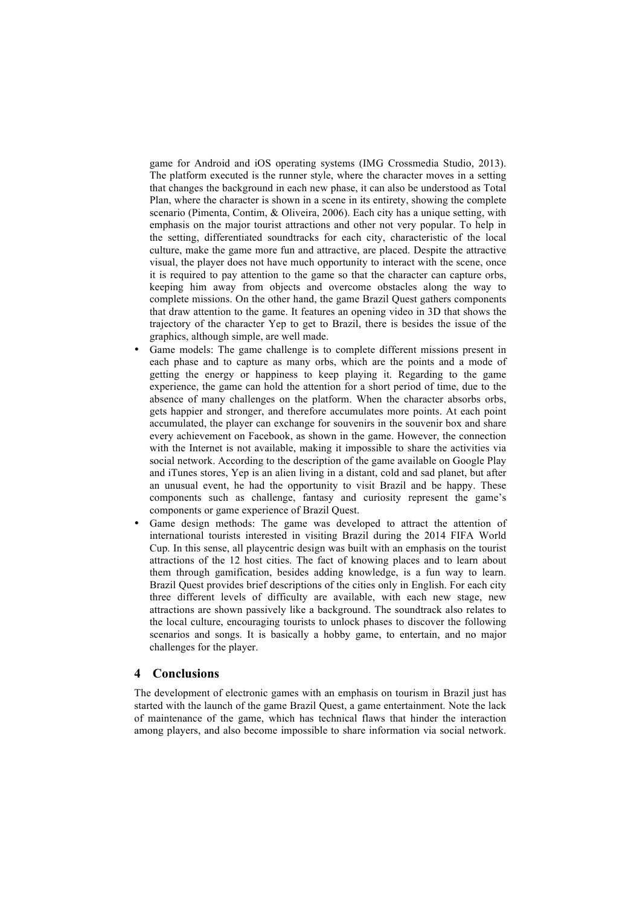game for Android and iOS operating systems (IMG Crossmedia Studio, 2013). The platform executed is the runner style, where the character moves in a setting that changes the background in each new phase, it can also be understood as Total Plan, where the character is shown in a scene in its entirety, showing the complete scenario (Pimenta, Contim, & Oliveira, 2006). Each city has a unique setting, with emphasis on the major tourist attractions and other not very popular. To help in the setting, differentiated soundtracks for each city, characteristic of the local culture, make the game more fun and attractive, are placed. Despite the attractive visual, the player does not have much opportunity to interact with the scene, once it is required to pay attention to the game so that the character can capture orbs, keeping him away from objects and overcome obstacles along the way to complete missions. On the other hand, the game Brazil Quest gathers components that draw attention to the game. It features an opening video in 3D that shows the trajectory of the character Yep to get to Brazil, there is besides the issue of the graphics, although simple, are well made.

- Game models: The game challenge is to complete different missions present in each phase and to capture as many orbs, which are the points and a mode of getting the energy or happiness to keep playing it. Regarding to the game experience, the game can hold the attention for a short period of time, due to the absence of many challenges on the platform. When the character absorbs orbs, gets happier and stronger, and therefore accumulates more points. At each point accumulated, the player can exchange for souvenirs in the souvenir box and share every achievement on Facebook, as shown in the game. However, the connection with the Internet is not available, making it impossible to share the activities via social network. According to the description of the game available on Google Play and iTunes stores, Yep is an alien living in a distant, cold and sad planet, but after an unusual event, he had the opportunity to visit Brazil and be happy. These components such as challenge, fantasy and curiosity represent the game's components or game experience of Brazil Quest.
- Game design methods: The game was developed to attract the attention of international tourists interested in visiting Brazil during the 2014 FIFA World Cup. In this sense, all playcentric design was built with an emphasis on the tourist attractions of the 12 host cities. The fact of knowing places and to learn about them through gamification, besides adding knowledge, is a fun way to learn. Brazil Quest provides brief descriptions of the cities only in English. For each city three different levels of difficulty are available, with each new stage, new attractions are shown passively like a background. The soundtrack also relates to the local culture, encouraging tourists to unlock phases to discover the following scenarios and songs. It is basically a hobby game, to entertain, and no major challenges for the player.

#### **4 Conclusions**

The development of electronic games with an emphasis on tourism in Brazil just has started with the launch of the game Brazil Quest, a game entertainment. Note the lack of maintenance of the game, which has technical flaws that hinder the interaction among players, and also become impossible to share information via social network.